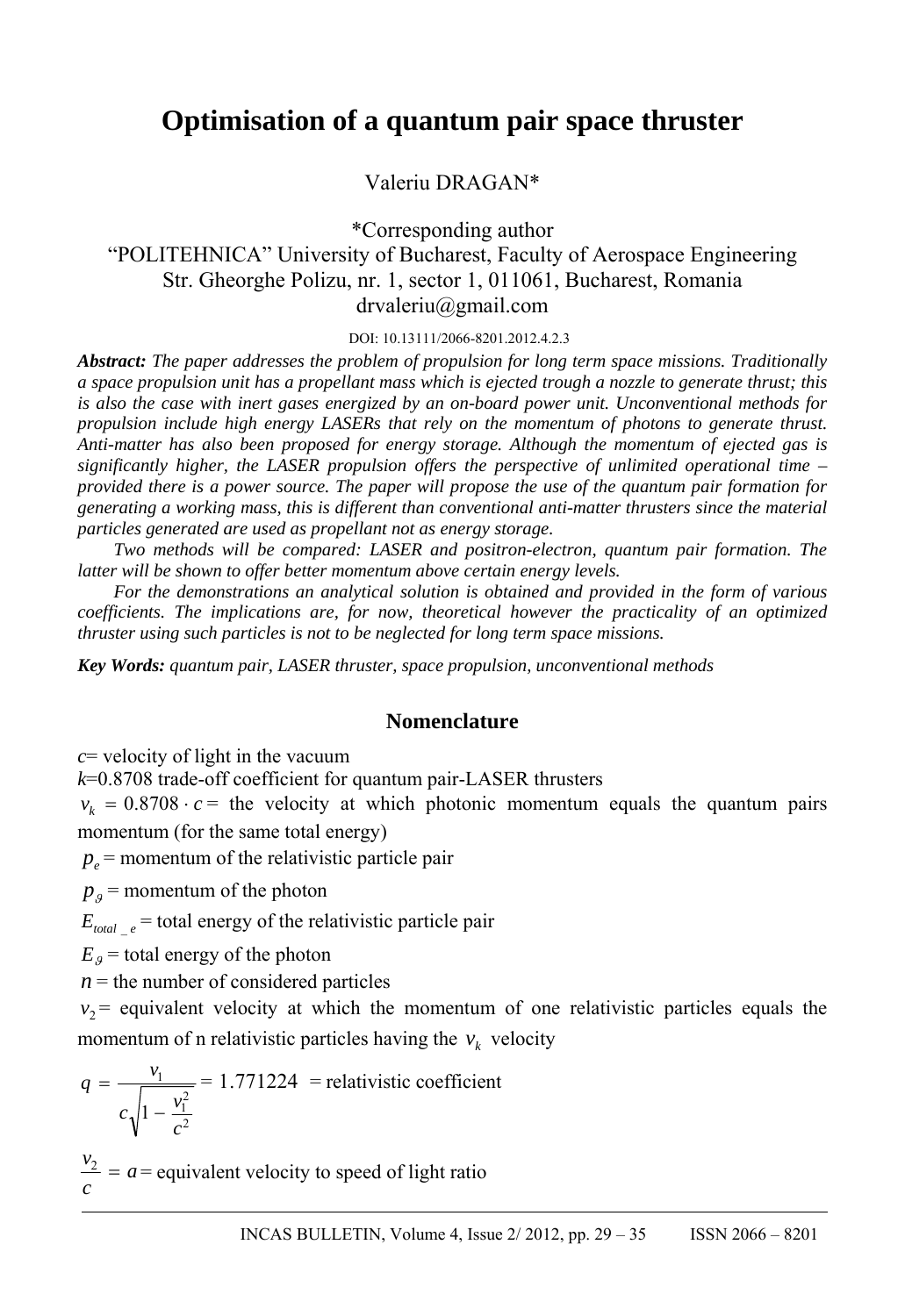# **Optimisation of a quantum pair space thruster**

Valeriu DRAGAN\*

\*Corresponding author "POLITEHNICA" University of Bucharest, Faculty of Aerospace Engineering Str. Gheorghe Polizu, nr. 1, sector 1, 011061, Bucharest, Romania drvaleriu@gmail.com

DOI: 10.13111/2066-8201.2012.4.2.3

*Abstract: The paper addresses the problem of propulsion for long term space missions. Traditionally a space propulsion unit has a propellant mass which is ejected trough a nozzle to generate thrust; this is also the case with inert gases energized by an on-board power unit. Unconventional methods for propulsion include high energy LASERs that rely on the momentum of photons to generate thrust. Anti-matter has also been proposed for energy storage. Although the momentum of ejected gas is significantly higher, the LASER propulsion offers the perspective of unlimited operational time – provided there is a power source. The paper will propose the use of the quantum pair formation for generating a working mass, this is different than conventional anti-matter thrusters since the material particles generated are used as propellant not as energy storage.* 

*Two methods will be compared: LASER and positron-electron, quantum pair formation. The latter will be shown to offer better momentum above certain energy levels.* 

*For the demonstrations an analytical solution is obtained and provided in the form of various coefficients. The implications are, for now, theoretical however the practicality of an optimized thruster using such particles is not to be neglected for long term space missions.* 

*Key Words: quantum pair, LASER thruster, space propulsion, unconventional methods* 

# **Nomenclature**

*c*= velocity of light in the vacuum

*k*=0.8708 trade-off coefficient for quantum pair-LASER thrusters

 $v_k = 0.8708 \cdot c =$  the velocity at which photonic momentum equals the quantum pairs momentum (for the same total energy)

 $p_e$  = momentum of the relativistic particle pair

 $p_{\rho}$  = momentum of the photon

 $E_{total}$   $_e$  = total energy of the relativistic particle pair

 $E<sub>g</sub>$  = total energy of the photon

 $n =$  the number of considered particles

 $v_2$  = equivalent velocity at which the momentum of one relativistic particles equals the momentum of n relativistic particles having the  $v_k$  velocity

$$
q = \frac{v_1}{c\sqrt{1 - \frac{v_1^2}{c^2}}} = 1.771224
$$
 = relativistic coefficient

*a c*  $v_2 = a$  = equivalent velocity to speed of light ratio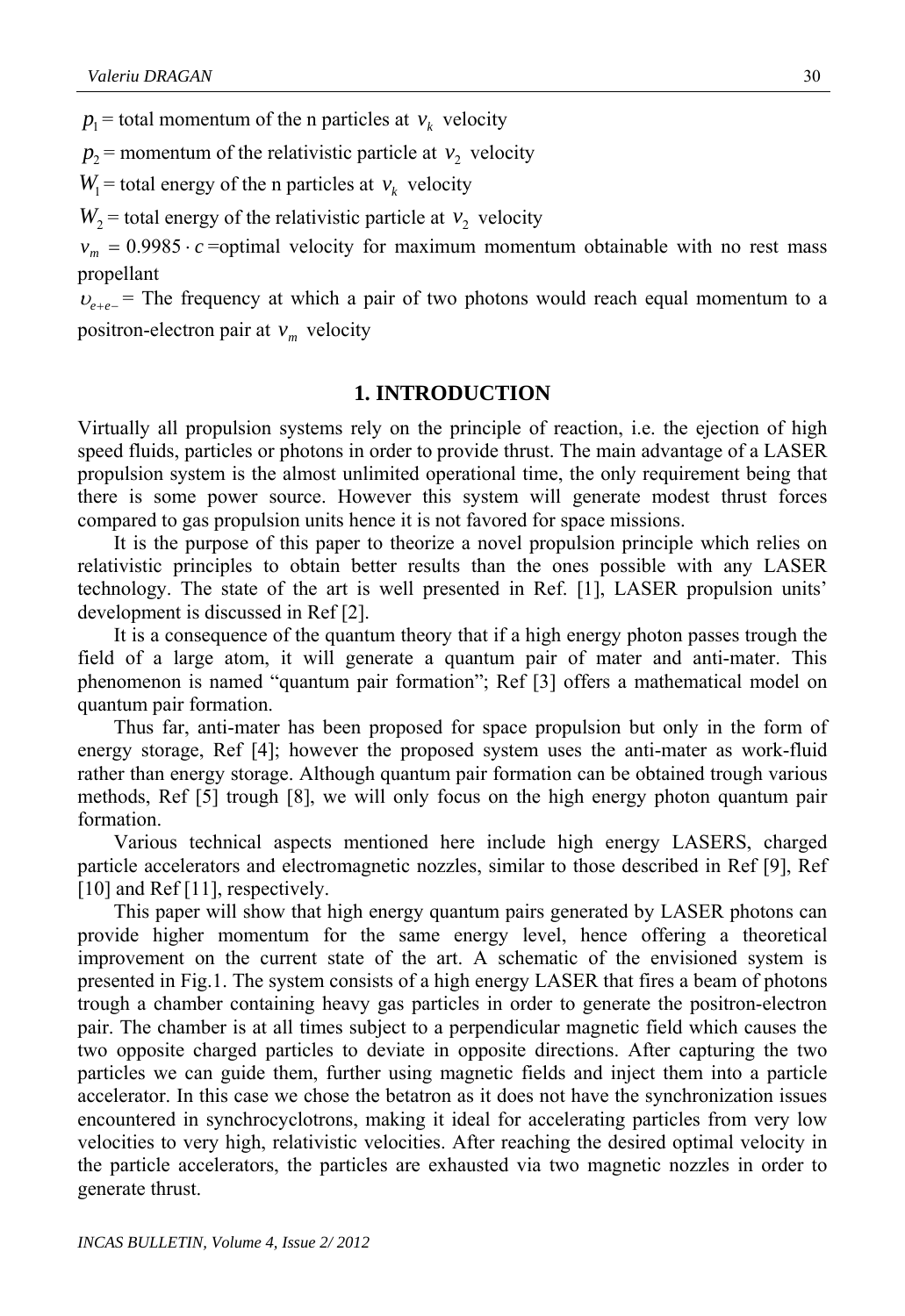$p_1$  = total momentum of the n particles at  $v_k$  velocity

 $p_2$  = momentum of the relativistic particle at  $v_2$  velocity

 $W_1$  = total energy of the n particles at  $v_k$  velocity

 $W_2$  = total energy of the relativistic particle at  $v_2$  velocity

 $v_m = 0.9985 \cdot c$  =optimal velocity for maximum momentum obtainable with no rest mass propellant

 $v_{e+e-}$  = The frequency at which a pair of two photons would reach equal momentum to a positron-electron pair at  $v_m$  velocity

## **1. INTRODUCTION**

Virtually all propulsion systems rely on the principle of reaction, i.e. the ejection of high speed fluids, particles or photons in order to provide thrust. The main advantage of a LASER propulsion system is the almost unlimited operational time, the only requirement being that there is some power source. However this system will generate modest thrust forces compared to gas propulsion units hence it is not favored for space missions.

 It is the purpose of this paper to theorize a novel propulsion principle which relies on relativistic principles to obtain better results than the ones possible with any LASER technology. The state of the art is well presented in Ref. [1], LASER propulsion units' development is discussed in Ref [2].

 It is a consequence of the quantum theory that if a high energy photon passes trough the field of a large atom, it will generate a quantum pair of mater and anti-mater. This phenomenon is named "quantum pair formation"; Ref [3] offers a mathematical model on quantum pair formation.

 Thus far, anti-mater has been proposed for space propulsion but only in the form of energy storage, Ref [4]; however the proposed system uses the anti-mater as work-fluid rather than energy storage. Although quantum pair formation can be obtained trough various methods, Ref [5] trough [8], we will only focus on the high energy photon quantum pair formation.

 Various technical aspects mentioned here include high energy LASERS, charged particle accelerators and electromagnetic nozzles, similar to those described in Ref [9], Ref [10] and Ref [11], respectively.

This paper will show that high energy quantum pairs generated by LASER photons can provide higher momentum for the same energy level, hence offering a theoretical improvement on the current state of the art. A schematic of the envisioned system is presented in Fig.1. The system consists of a high energy LASER that fires a beam of photons trough a chamber containing heavy gas particles in order to generate the positron-electron pair. The chamber is at all times subject to a perpendicular magnetic field which causes the two opposite charged particles to deviate in opposite directions. After capturing the two particles we can guide them, further using magnetic fields and inject them into a particle accelerator. In this case we chose the betatron as it does not have the synchronization issues encountered in synchrocyclotrons, making it ideal for accelerating particles from very low velocities to very high, relativistic velocities. After reaching the desired optimal velocity in the particle accelerators, the particles are exhausted via two magnetic nozzles in order to generate thrust.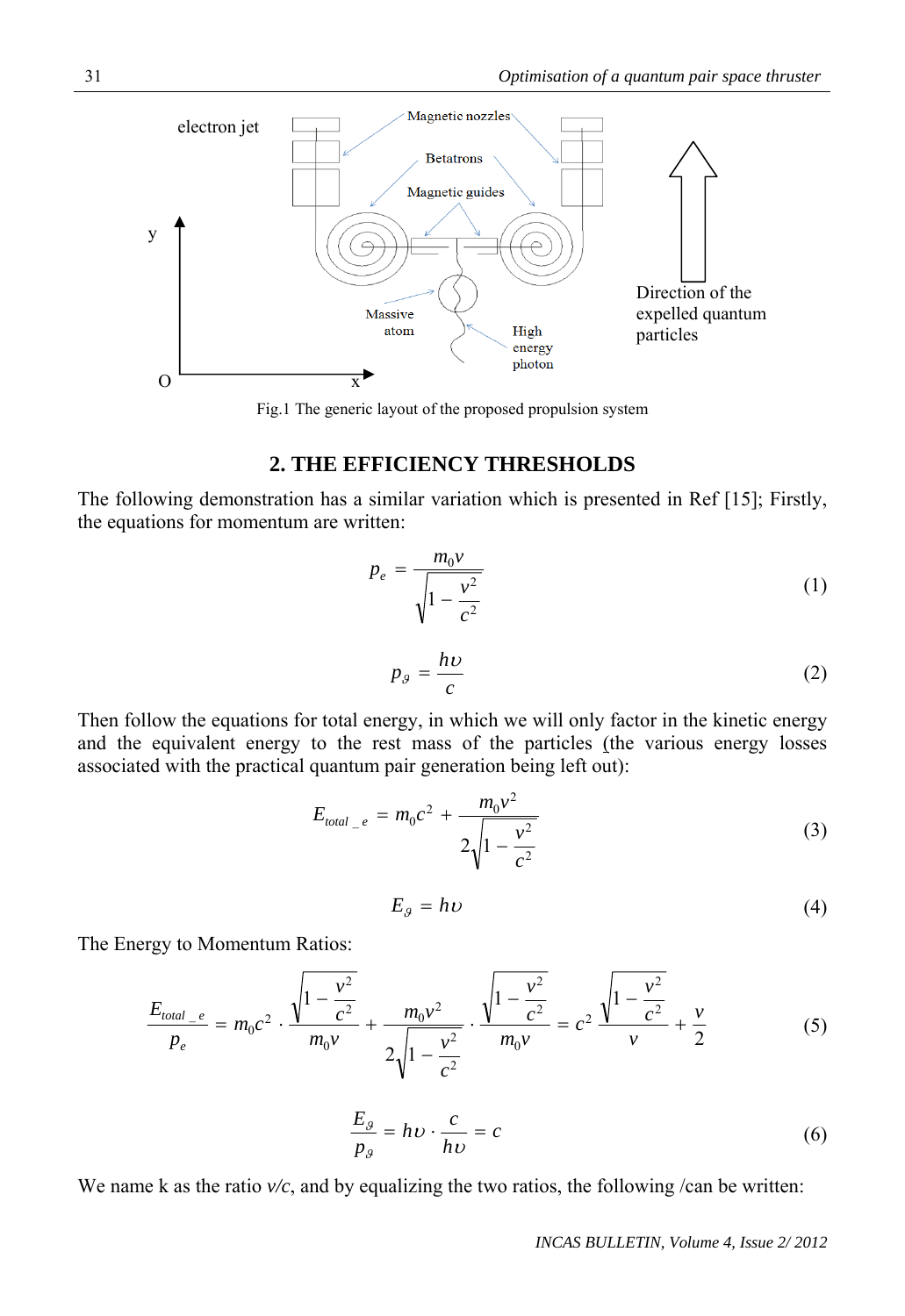

Fig.1 The generic layout of the proposed propulsion system

# **2. THE EFFICIENCY THRESHOLDS**

The following demonstration has a similar variation which is presented in Ref [15]; Firstly, the equations for momentum are written:

$$
p_e = \frac{m_0 v}{\sqrt{1 - \frac{v^2}{c^2}}}
$$
 (1)

$$
p_{\theta} = \frac{h\nu}{c} \tag{2}
$$

Then follow the equations for total energy, in which we will only factor in the kinetic energy and the equivalent energy to the rest mass of the particles (the various energy losses associated with the practical quantum pair generation being left out):

$$
E_{total_{-}e} = m_0 c^2 + \frac{m_0 v^2}{2\sqrt{1 - \frac{v^2}{c^2}}}
$$
 (3)

$$
E_g = h\upsilon \tag{4}
$$

The Energy to Momentum Ratios:

$$
\frac{E_{total_{e}}}{p_e} = m_0 c^2 \cdot \frac{\sqrt{1 - \frac{v^2}{c^2}}}{m_0 v} + \frac{m_0 v^2}{2\sqrt{1 - \frac{v^2}{c^2}}} \cdot \frac{\sqrt{1 - \frac{v^2}{c^2}}}{m_0 v} = c^2 \frac{\sqrt{1 - \frac{v^2}{c^2}}}{v} + \frac{v}{2}
$$
(5)

$$
\frac{E_g}{p_g} = h v \cdot \frac{c}{h v} = c \tag{6}
$$

We name k as the ratio  $v/c$ , and by equalizing the two ratios, the following /can be written: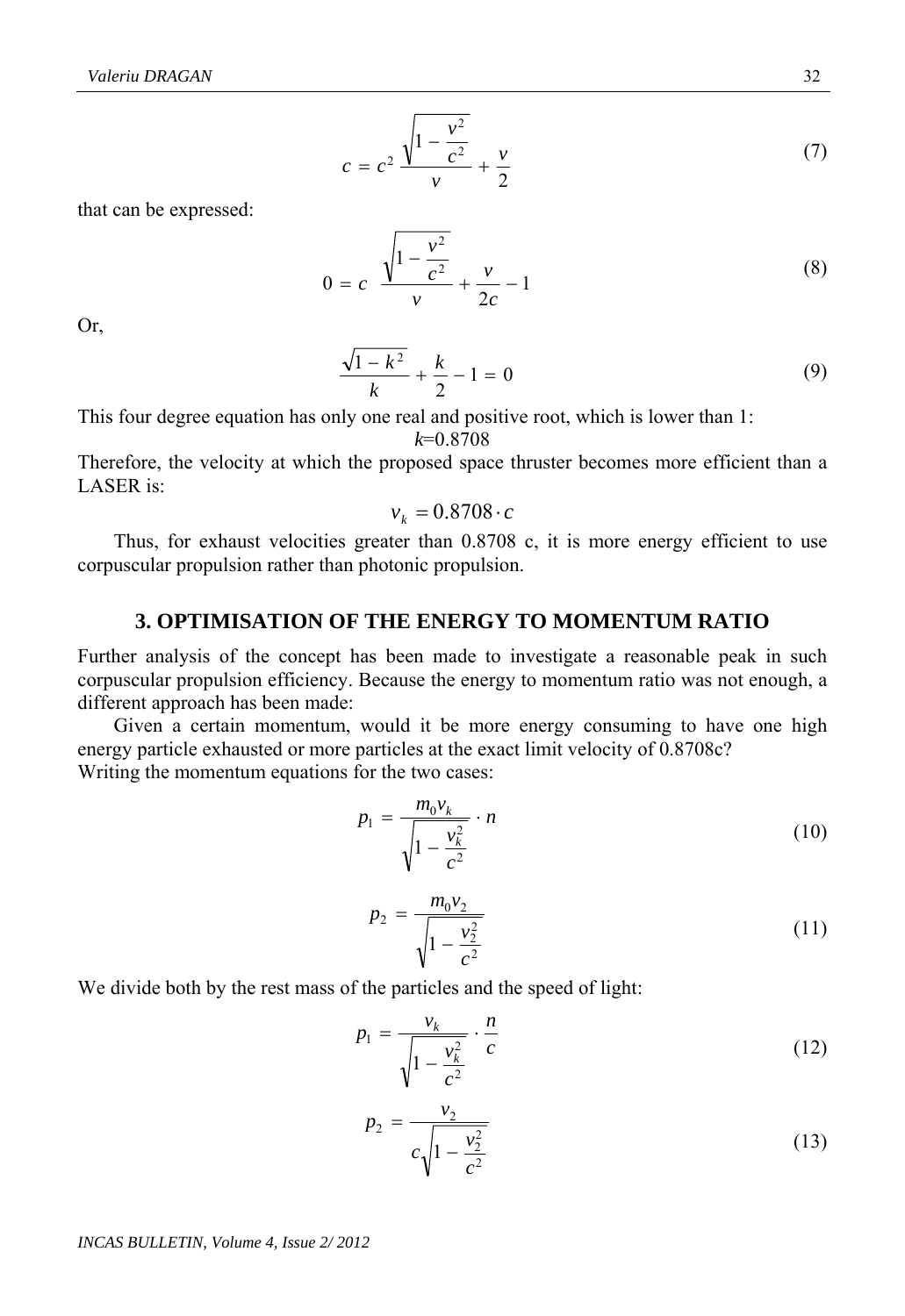$$
c = c^2 \frac{\sqrt{1 - \frac{v^2}{c^2}}}{v} + \frac{v}{2}
$$
 (7)

that can be expressed:

$$
0 = c \frac{\sqrt{1 - \frac{v^2}{c^2}}}{v} + \frac{v}{2c} - 1
$$
 (8)

Or,

$$
\frac{\sqrt{1-k^2}}{k} + \frac{k}{2} - 1 = 0
$$
\n(9)

This four degree equation has only one real and positive root, which is lower than 1: *k*=0.8708

Therefore, the velocity at which the proposed space thruster becomes more efficient than a LASER is:

$$
v_k = 0.8708 \cdot c
$$

Thus, for exhaust velocities greater than 0.8708 c, it is more energy efficient to use corpuscular propulsion rather than photonic propulsion.

### **3. OPTIMISATION OF THE ENERGY TO MOMENTUM RATIO**

Further analysis of the concept has been made to investigate a reasonable peak in such corpuscular propulsion efficiency. Because the energy to momentum ratio was not enough, a different approach has been made:

 Given a certain momentum, would it be more energy consuming to have one high energy particle exhausted or more particles at the exact limit velocity of 0.8708c? Writing the momentum equations for the two cases:

$$
p_1 = \frac{m_0 v_k}{\sqrt{1 - \frac{v_k^2}{c^2}}} \cdot n
$$
 (10)

$$
p_2 = \frac{m_0 v_2}{\sqrt{1 - \frac{v_2^2}{c^2}}}
$$
\n(11)

We divide both by the rest mass of the particles and the speed of light:

$$
p_1 = \frac{v_k}{\sqrt{1 - \frac{v_k^2}{c^2}}} \cdot \frac{n}{c}
$$
 (12)

$$
p_2 = \frac{v_2}{c\sqrt{1 - \frac{v_2^2}{c^2}}}
$$
 (13)

*INCAS BULLETIN, Volume 4, Issue 2/ 2012*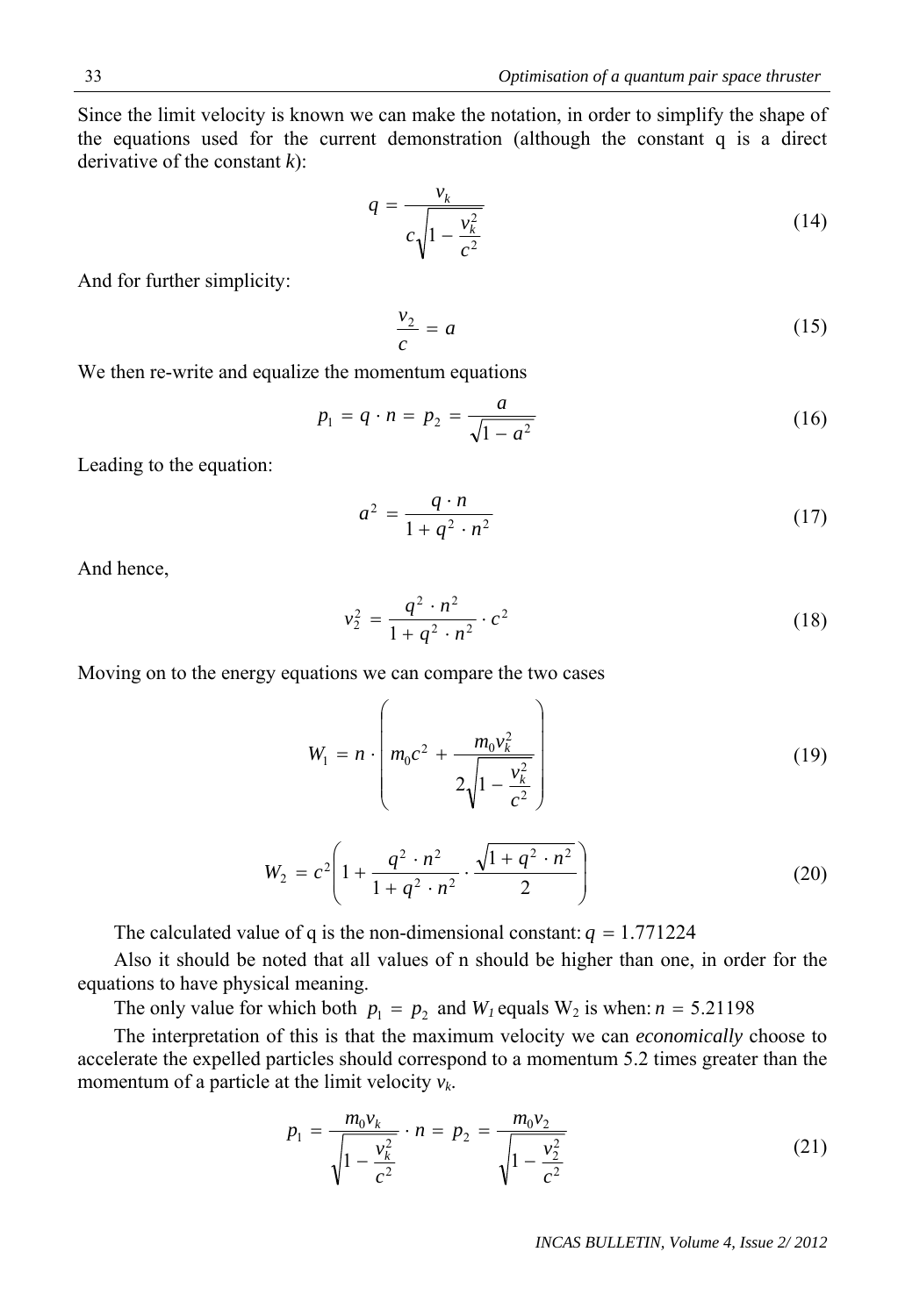*INCAS BULLETIN, Volume 4, Issue 2/ 2012*

Since the limit velocity is known we can make the notation, in order to simplify the shape of the equations used for the current demonstration (although the constant q is a direct derivative of the constant *k*):

$$
q = \frac{v_k}{c\sqrt{1 - \frac{v_k^2}{c^2}}}
$$
 (14)

And for further simplicity:

$$
\frac{v_2}{c} = a \tag{15}
$$

We then re-write and equalize the momentum equations

$$
p_1 = q \cdot n = p_2 = \frac{a}{\sqrt{1 - a^2}}\tag{16}
$$

Leading to the equation:

$$
a^2 = \frac{q \cdot n}{1 + q^2 \cdot n^2} \tag{17}
$$

And hence,

$$
v_2^2 = \frac{q^2 \cdot n^2}{1 + q^2 \cdot n^2} \cdot c^2
$$
 (18)

Moving on to the energy equations we can compare the two cases

$$
W_1 = n \cdot \left( m_0 c^2 + \frac{m_0 v_k^2}{2 \sqrt{1 - \frac{v_k^2}{c^2}}} \right)
$$
 (19)

$$
W_2 = c^2 \left( 1 + \frac{q^2 \cdot n^2}{1 + q^2 \cdot n^2} \cdot \frac{\sqrt{1 + q^2 \cdot n^2}}{2} \right) \tag{20}
$$

The calculated value of q is the non-dimensional constant:  $q = 1.771224$ 

Also it should be noted that all values of n should be higher than one, in order for the equations to have physical meaning.

The only value for which both  $p_1 = p_2$  and  $W_1$  equals  $W_2$  is when:  $n = 5.21198$ .

 The interpretation of this is that the maximum velocity we can *economically* choose to accelerate the expelled particles should correspond to a momentum 5.2 times greater than the momentum of a particle at the limit velocity *vk*.

$$
p_1 = \frac{m_0 v_k}{\sqrt{1 - \frac{v_k^2}{c^2}}} \cdot n = p_2 = \frac{m_0 v_2}{\sqrt{1 - \frac{v_2^2}{c^2}}}
$$
(21)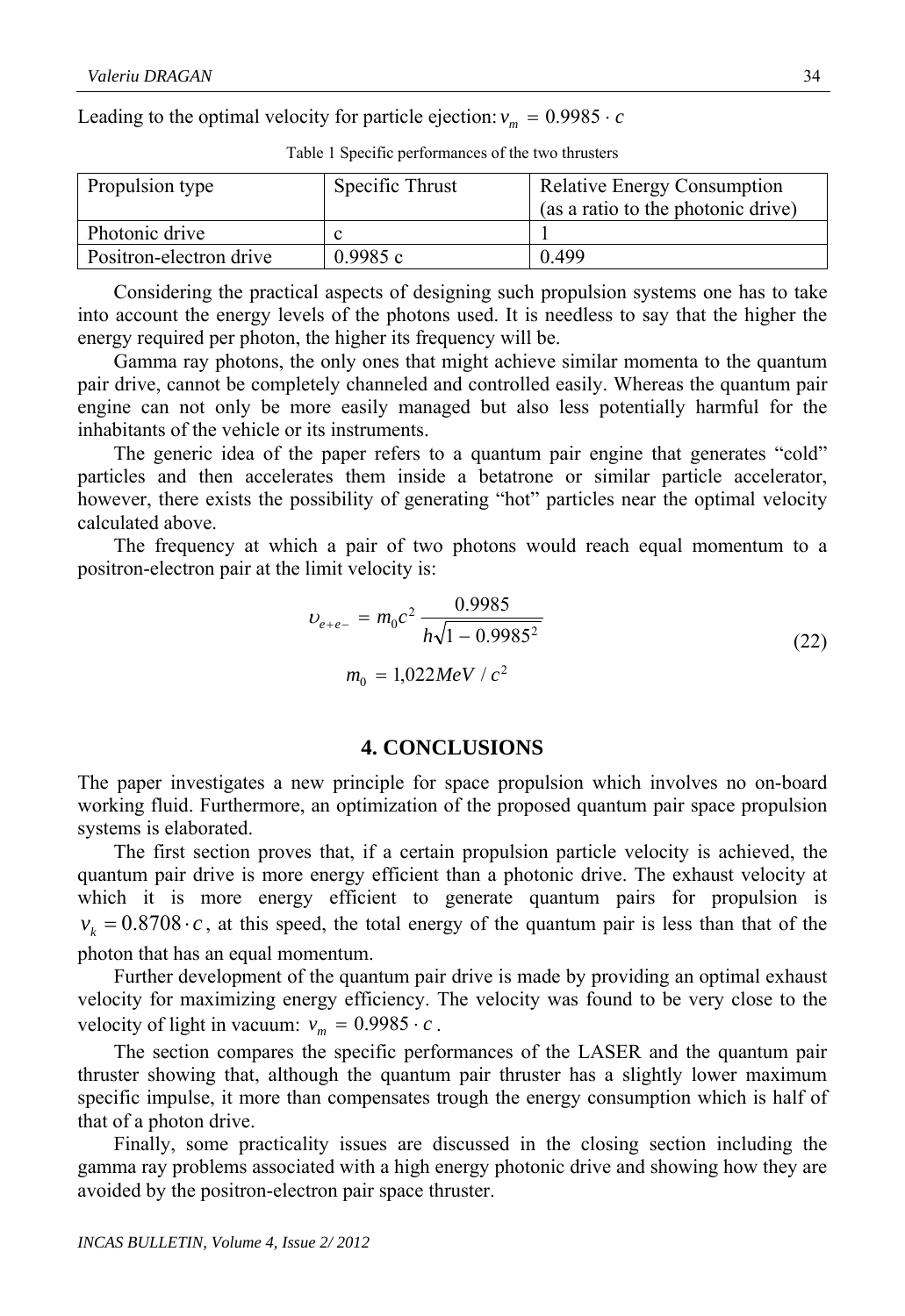Leading to the optimal velocity for particle ejection:  $v_m = 0.9985 \cdot c$ 

| Propulsion type         | Specific Thrust | Relative Energy Consumption<br>(as a ratio to the photonic drive) |
|-------------------------|-----------------|-------------------------------------------------------------------|
| Photonic drive          |                 |                                                                   |
| Positron-electron drive | 0.9985c         | 0.499                                                             |

Table 1 Specific performances of the two thrusters

 Considering the practical aspects of designing such propulsion systems one has to take into account the energy levels of the photons used. It is needless to say that the higher the energy required per photon, the higher its frequency will be.

Gamma ray photons, the only ones that might achieve similar momenta to the quantum pair drive, cannot be completely channeled and controlled easily. Whereas the quantum pair engine can not only be more easily managed but also less potentially harmful for the inhabitants of the vehicle or its instruments.

 The generic idea of the paper refers to a quantum pair engine that generates "cold" particles and then accelerates them inside a betatrone or similar particle accelerator, however, there exists the possibility of generating "hot" particles near the optimal velocity calculated above.

The frequency at which a pair of two photons would reach equal momentum to a positron-electron pair at the limit velocity is:

$$
v_{e+e-} = m_0 c^2 \frac{0.9985}{h\sqrt{1 - 0.9985^2}}
$$
  

$$
m_0 = 1,022 MeV/c^2
$$
 (22)

### **4. CONCLUSIONS**

The paper investigates a new principle for space propulsion which involves no on-board working fluid. Furthermore, an optimization of the proposed quantum pair space propulsion systems is elaborated.

The first section proves that, if a certain propulsion particle velocity is achieved, the quantum pair drive is more energy efficient than a photonic drive. The exhaust velocity at which it is more energy efficient to generate quantum pairs for propulsion is  $v_k = 0.8708 \cdot c$ , at this speed, the total energy of the quantum pair is less than that of the photon that has an equal momentum.

Further development of the quantum pair drive is made by providing an optimal exhaust velocity for maximizing energy efficiency. The velocity was found to be very close to the velocity of light in vacuum:  $v_m = 0.9985 \cdot c$ .

The section compares the specific performances of the LASER and the quantum pair thruster showing that, although the quantum pair thruster has a slightly lower maximum specific impulse, it more than compensates trough the energy consumption which is half of that of a photon drive.

 Finally, some practicality issues are discussed in the closing section including the gamma ray problems associated with a high energy photonic drive and showing how they are avoided by the positron-electron pair space thruster.